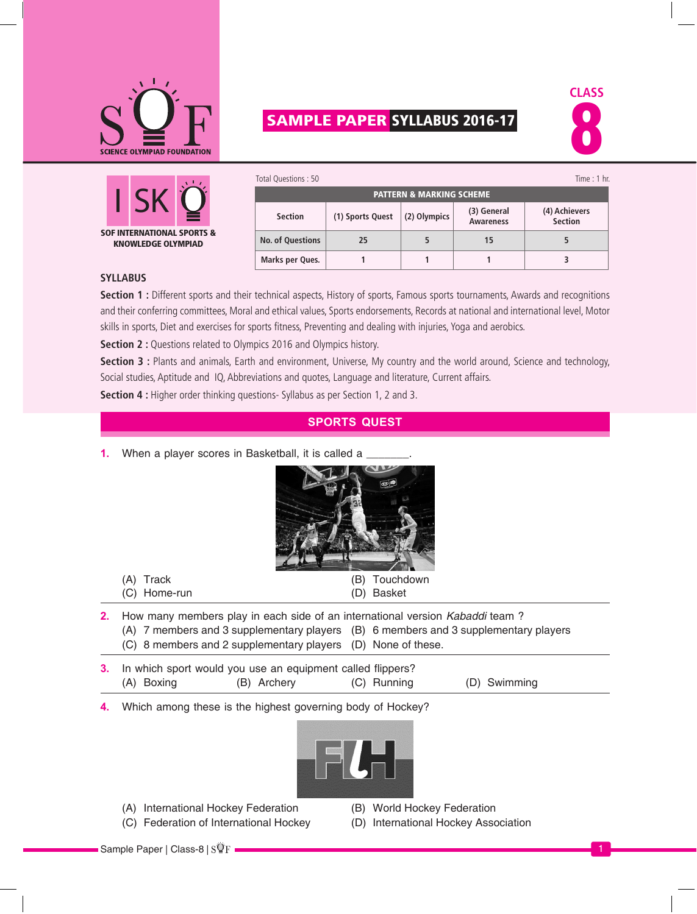

# **SAMPLE PAPER SYLLABUS 2016-17**





| Total Questions: 50     |                                     |              |                                 | Time : $1$ hr.                  |  |  |  |  |  |
|-------------------------|-------------------------------------|--------------|---------------------------------|---------------------------------|--|--|--|--|--|
|                         | <b>PATTERN &amp; MARKING SCHEME</b> |              |                                 |                                 |  |  |  |  |  |
| <b>Section</b>          | (1) Sports Quest                    | (2) Olympics | (3) General<br><b>Awareness</b> | (4) Achievers<br><b>Section</b> |  |  |  |  |  |
| <b>No. of Questions</b> | 25                                  |              | 15                              |                                 |  |  |  |  |  |
| Marks per Ques.         |                                     |              |                                 |                                 |  |  |  |  |  |

#### **Syllabus**

**Section 1 :** Different sports and their technical aspects, History of sports, Famous sports tournaments, Awards and recognitions and their conferring committees, Moral and ethical values, Sports endorsements, Records at national and international level, Motor skills in sports, Diet and exercises for sports fitness, Preventing and dealing with injuries, Yoga and aerobics.

**Section 2 :** Questions related to Olympics 2016 and Olympics history.

**Section 3 :** Plants and animals, Earth and environment, Universe, My country and the world around, Science and technology, Social studies, Aptitude and IQ, Abbreviations and quotes, Language and literature, Current affairs.

**Section 4 :** Higher order thinking questions- Syllabus as per Section 1, 2 and 3.

#### **Sports Quest**

**1.** When a player scores in Basketball, it is called a



- **2.** How many members play in each side of an international version *Kabaddi* team ?
	- (A) 7 members and 3 supplementary players (B) 6 members and 3 supplementary players
		- (C) 8 members and 2 supplementary players (D) None of these.
- **3.** In which sport would you use an equipment called flippers? (A) Boxing (B) Archery (C) Running (D) Swimming
- **4.** Which among these is the highest governing body of Hockey?



- (A) International Hockey Federation (B) World Hockey Federation
- (C) Federation of International Hockey (D) International Hockey Association
- -

Sample Paper | Class-8 | SQF +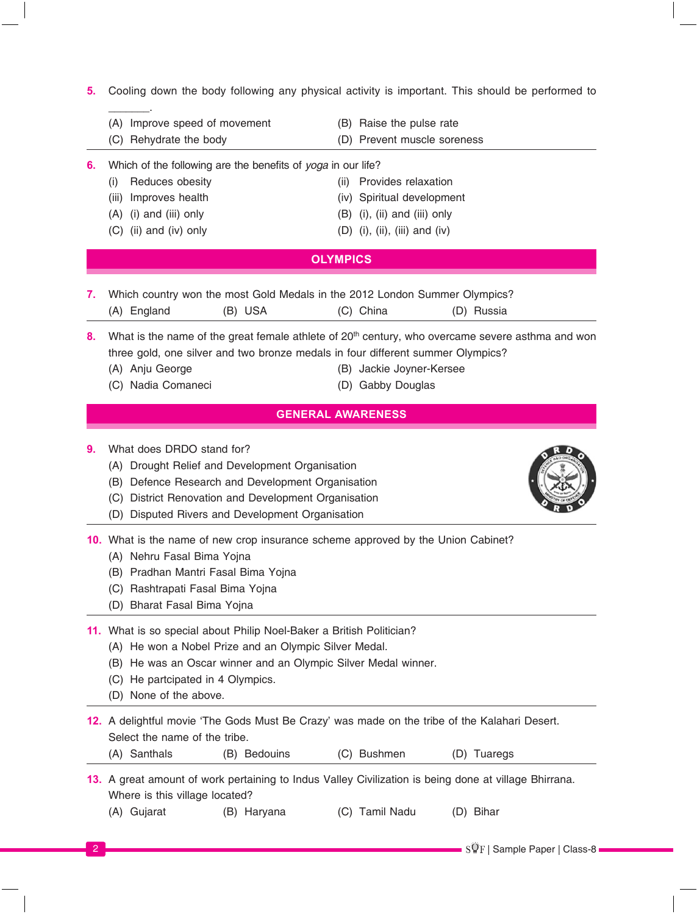**5.** Cooling down the body following any physical activity is important. This should be performed to

- $\overline{\phantom{a}}$ (A) Improve speed of movement (B) Raise the pulse rate
	-
- (C) Rehydrate the body (D) Prevent muscle soreness
- 
- **6.** Which of the following are the benefits of *yoga* in our life?
	- (i) Reduces obesity (ii) Provides relaxation (iii) Improves health (iv) Spiritual development  $(A)$  (i) and (iii) only  $(B)$  (i), (ii) and (iii) only
	-
- 
- $(C)$  (ii) and (iv) only  $(D)$  (i), (ii), (iii) and (iv)

# **Olympics**

**7.** Which country won the most Gold Medals in the 2012 London Summer Olympics? (A) England (B) USA (C) China (D) Russia

8. What is the name of the great female athlete of 20<sup>th</sup> century, who overcame severe asthma and won three gold, one silver and two bronze medals in four different summer Olympics?

- 
- (A) Anju George (B) Jackie Joyner-Kersee
- 
- (C) Nadia Comaneci (D) Gabby Douglas

# **General Awareness**

- **9.** What does DRDO stand for?
	- (A) Drought Relief and Development Organisation
	- (B) Defence Research and Development Organisation
	- (C) District Renovation and Development Organisation
	- (D) Disputed Rivers and Development Organisation

**10.** What is the name of new crop insurance scheme approved by the Union Cabinet?

- (A) Nehru Fasal Bima Yojna
- (B) Pradhan Mantri Fasal Bima Yojna
- (C) Rashtrapati Fasal Bima Yojna
- (D) Bharat Fasal Bima Yojna

### **11.** What is so special about Philip Noel-Baker a British Politician?

- (A) He won a Nobel Prize and an Olympic Silver Medal.
- (B) He was an Oscar winner and an Olympic Silver Medal winner.
- (C) He partcipated in 4 Olympics.
- (D) None of the above.

| 12. A delightful movie 'The Gods Must Be Crazy' was made on the tribe of the Kalahari Desert. |  |  |  |  |  |
|-----------------------------------------------------------------------------------------------|--|--|--|--|--|
| Select the name of the tribe.                                                                 |  |  |  |  |  |

(A) Santhals (B) Bedouins (C) Bushmen (D) Tuaregs

**13.** A great amount of work pertaining to Indus Valley Civilization is being done at village Bhirrana. Where is this village located?

(A) Gujarat (B) Haryana (C) Tamil Nadu (D) Bihar